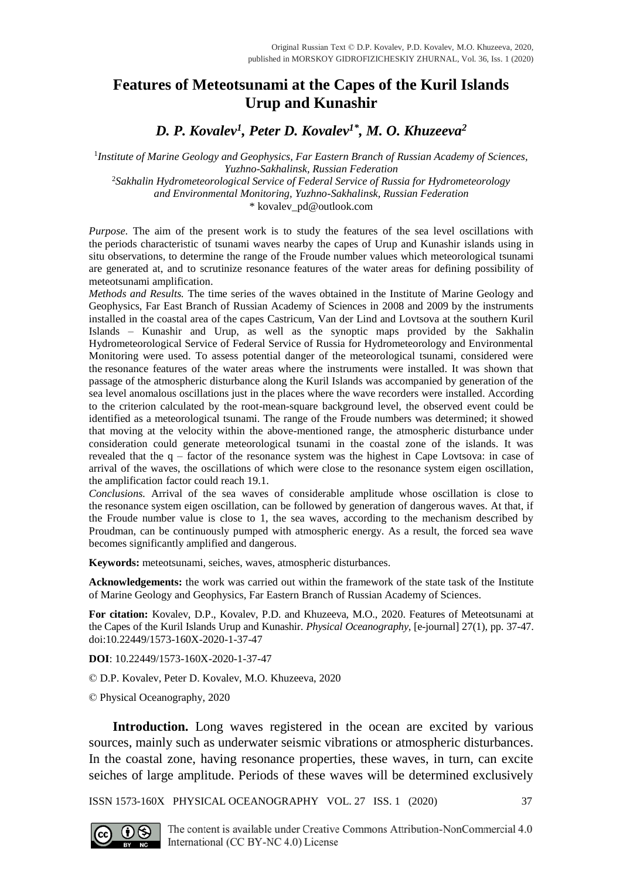## **Features of Meteotsunami at the Capes of the Kuril Islands Urup and Kunashir**

*D. P. Kovalev<sup>1</sup> , Peter D. Kovalev1\*, M. O. Khuzeeva<sup>2</sup>*

<sup>1</sup>Institute of Marine Geology and Geophysics, Far Eastern Branch of Russian Academy of Sciences, *Yuzhno-Sakhalinsk, Russian Federation* <sup>2</sup>*Sakhalin Hydrometeorological Service of Federal Service of Russia for Hydrometeorology* 

*and Environmental Monitoring, Yuzhno-Sakhalinsk, Russian Federation*

[\\* kovalev\\_pd@outlook.com](mailto:kovalev_pd@outlook.com)

*Purpose*. The aim of the present work is to study the features of the sea level oscillations with the periods characteristic of tsunami waves nearby the capes of Urup and Kunashir islands using in situ observations, to determine the range of the Froude number values which meteorological tsunami are generated at, and to scrutinize resonance features of the water areas for defining possibility of meteotsunami amplification.

*Methods and Results.* The time series of the waves obtained in the Institute of Marine Geology and Geophysics, Far East Branch of Russian Academy of Sciences in 2008 and 2009 by the instruments installed in the coastal area of the capes Castricum, Van der Lind and Lovtsova at the southern Kuril Islands – Kunashir and Urup, as well as the synoptic maps provided by the Sakhalin Hydrometeorological Service of Federal Service of Russia for Hydrometeorology and Environmental Monitoring were used. To assess potential danger of the meteorological tsunami, considered were the resonance features of the water areas where the instruments were installed. It was shown that passage of the atmospheric disturbance along the Kuril Islands was accompanied by generation of the sea level anomalous oscillations just in the places where the wave recorders were installed. According to the criterion calculated by the root-mean-square background level, the observed event could be identified as a meteorological tsunami. The range of the Froude numbers was determined; it showed that moving at the velocity within the above-mentioned range, the atmospheric disturbance under consideration could generate meteorological tsunami in the coastal zone of the islands. It was revealed that the q – factor of the resonance system was the highest in Cape Lovtsova: in case of arrival of the waves, the oscillations of which were close to the resonance system eigen oscillation, the amplification factor could reach 19.1.

*Conclusions.* Arrival of the sea waves of considerable amplitude whose oscillation is close to the resonance system eigen oscillation, can be followed by generation of dangerous waves. At that, if the Froude number value is close to 1, the sea waves, according to the mechanism described by Proudman, can be continuously pumped with atmospheric energy. As a result, the forced sea wave becomes significantly amplified and dangerous.

**Keywords:** meteotsunami, seiches, waves, atmospheric disturbances.

Acknowledgements: the work was carried out within the framework of the state task of the Institute of Marine Geology and Geophysics, Far Eastern Branch of Russian Academy of Sciences.

**For citation:** Kovalev, D.P., Kovalev, P.D. and Khuzeeva, M.O., 2020. Features of Meteotsunami at the Capes of the Kuril Islands Urup and Kunashir. *Physical Oceanography,* [e-journal] 27(1), pp. 37-47. doi:10.22449/1573-160X-2020-1-37-47

**DOI**: 10.22449/1573-160X-2020-1-37-47

© D.P. Kovalev, Peter D. Kovalev, M.O. Khuzeeva, 2020

© Physical Oceanography, 2020

**Introduction.** Long waves registered in the ocean are excited by various sources, mainly such as underwater seismic vibrations or atmospheric disturbances. In the coastal zone, having resonance properties, these waves, in turn, can excite seiches of large amplitude. Periods of these waves will be determined exclusively

ISSN 1573-160X PHYSICAL OCEANOGRAPHY VOL. 27 ISS. 1 (2020) 37

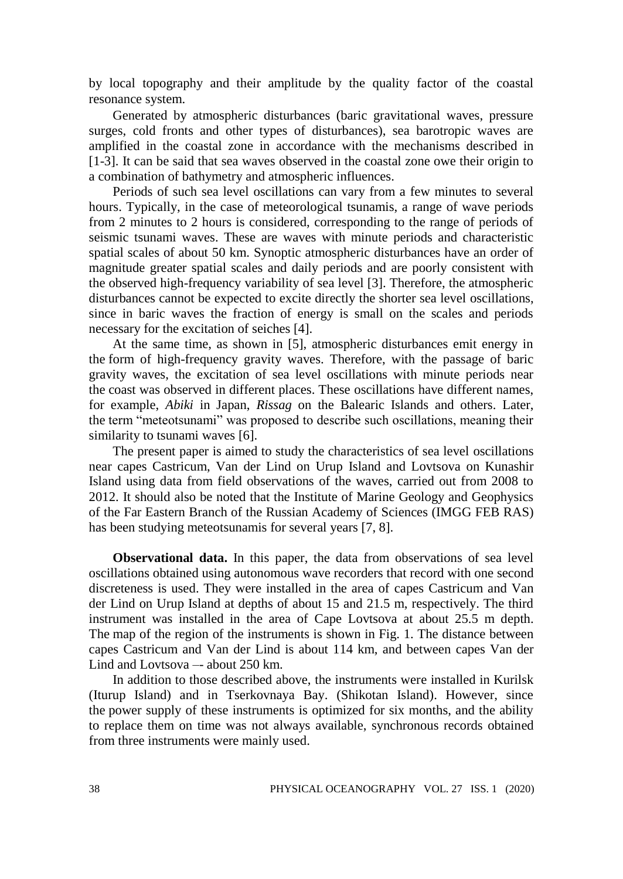by local topography and their amplitude by the quality factor of the coastal resonance system.

Generated by atmospheric disturbances (baric gravitational waves, pressure surges, cold fronts and other types of disturbances), sea barotropic waves are amplified in the coastal zone in accordance with the mechanisms described in [1-3]. It can be said that sea waves observed in the coastal zone owe their origin to a combination of bathymetry and atmospheric influences.

Periods of such sea level oscillations can vary from a few minutes to several hours. Typically, in the case of meteorological tsunamis, a range of wave periods from 2 minutes to 2 hours is considered, corresponding to the range of periods of seismic tsunami waves. These are waves with minute periods and characteristic spatial scales of about 50 km. Synoptic atmospheric disturbances have an order of magnitude greater spatial scales and daily periods and are poorly consistent with the observed high-frequency variability of sea level [3]. Therefore, the atmospheric disturbances cannot be expected to excite directly the shorter sea level oscillations, since in baric waves the fraction of energy is small on the scales and periods necessary for the excitation of seiches [4].

At the same time, as shown in [5], atmospheric disturbances emit energy in the form of high-frequency gravity waves. Therefore, with the passage of baric gravity waves, the excitation of sea level oscillations with minute periods near the coast was observed in different places. These oscillations have different names, for example, *Abiki* in Japan, *Rissag* on the Balearic Islands and others. Later, the term "meteotsunami" was proposed to describe such oscillations, meaning their similarity to tsunami waves [6].

The present paper is aimed to study the characteristics of sea level oscillations near capes Castricum, Van der Lind on Urup Island and Lovtsova on Kunashir Island using data from field observations of the waves, carried out from 2008 to 2012. It should also be noted that the Institute of Marine Geology and Geophysics of the Far Eastern Branch of the Russian Academy of Sciences (IMGG FEB RAS) has been studying meteotsunamis for several years [7, 8].

**Observational data.** In this paper, the data from observations of sea level oscillations obtained using autonomous wave recorders that record with one second discreteness is used. They were installed in the area of capes Castricum and Van der Lind on Urup Island at depths of about 15 and 21.5 m, respectively. The third instrument was installed in the area of Cape Lovtsova at about 25.5 m depth. The map of the region of the instruments is shown in Fig. 1. The distance between capes Castricum and Van der Lind is about 114 km, and between capes Van der Lind and Lovtsova –- about 250 km.

In addition to those described above, the instruments were installed in Kurilsk (Iturup Island) and in Tserkovnaya Bay. (Shikotan Island). However, since the power supply of these instruments is optimized for six months, and the ability to replace them on time was not always available, synchronous records obtained from three instruments were mainly used.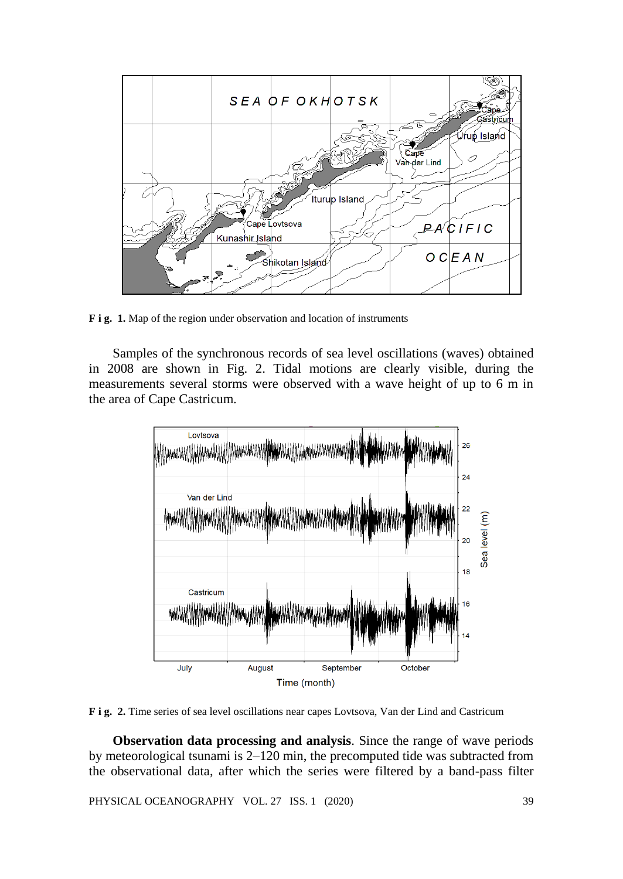

**F i g. 1.** Map of the region under observation and location of instruments

Samples of the synchronous records of sea level oscillations (waves) obtained in 2008 are shown in Fig. 2. Tidal motions are clearly visible, during the measurements several storms were observed with a wave height of up to 6 m in the area of Cape Castricum.



**F i g. 2.** Time series of sea level oscillations near capes Lovtsova, Van der Lind and Castricum

**Observation data processing and analysis**. Since the range of wave periods by meteorological tsunami is 2–120 min, the precomputed tide was subtracted from the observational data, after which the series were filtered by a band-pass filter

PHYSICAL OCEANOGRAPHY VOL. 27 ISS. 1 (2020) 39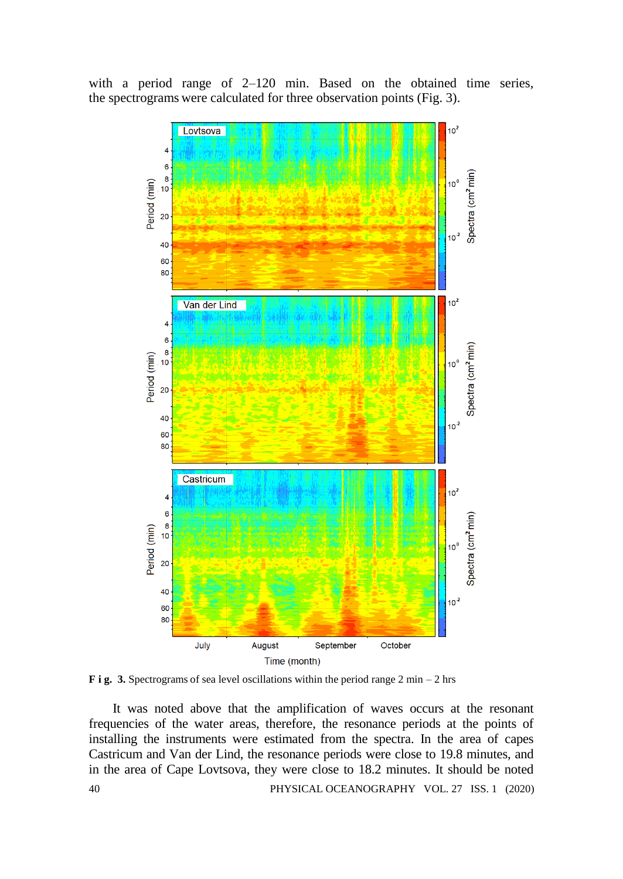

with a period range of 2–120 min. Based on the obtained time series, the spectrograms were calculated for three observation points (Fig. 3).

**F i g. 3.** Spectrograms of sea level oscillations within the period range 2 min – 2 hrs

40 PHYSICAL OCEANOGRAPHY VOL. 27 ISS. 1 (2020) It was noted above that the amplification of waves occurs at the resonant frequencies of the water areas, therefore, the resonance periods at the points of installing the instruments were estimated from the spectra. In the area of capes Castricum and Van der Lind, the resonance periods were close to 19.8 minutes, and in the area of Cape Lovtsova, they were close to 18.2 minutes. It should be noted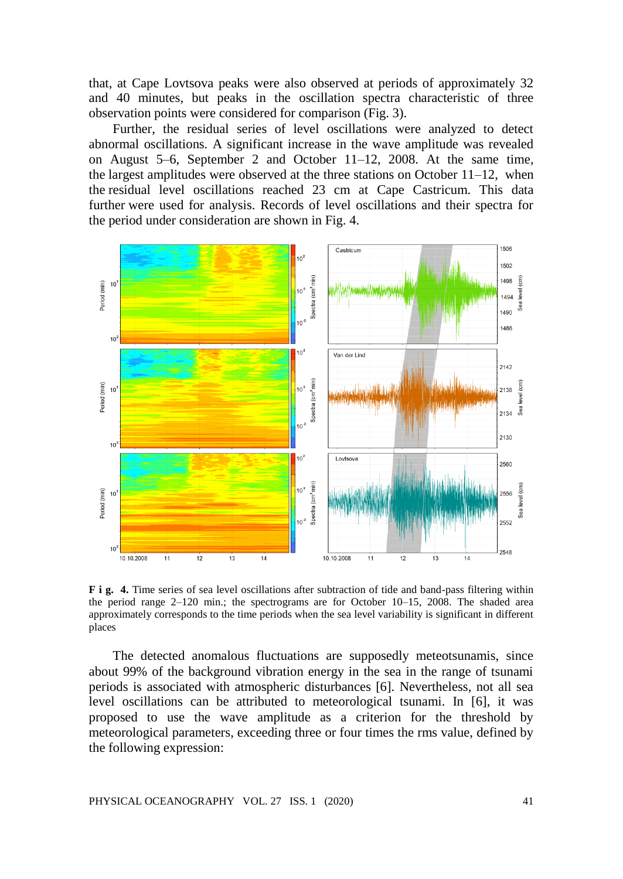that, at Cape Lovtsova peaks were also observed at periods of approximately 32 and 40 minutes, but peaks in the oscillation spectra characteristic of three observation points were considered for comparison (Fig. 3).

Further, the residual series of level oscillations were analyzed to detect abnormal oscillations. A significant increase in the wave amplitude was revealed on August 5–6, September 2 and October 11–12, 2008. At the same time, the largest amplitudes were observed at the three stations on October  $11-12$ , when the residual level oscillations reached 23 cm at Cape Castricum. This data further were used for analysis. Records of level oscillations and their spectra for the period under consideration are shown in Fig. 4.



**F i g. 4.** Time series of sea level oscillations after subtraction of tide and band-pass filtering within the period range 2–120 min.; the spectrograms are for October 10–15, 2008. The shaded area approximately corresponds to the time periods when the sea level variability is significant in different places

The detected anomalous fluctuations are supposedly meteotsunamis, since about 99% of the background vibration energy in the sea in the range of tsunami periods is associated with atmospheric disturbances [6]. Nevertheless, not all sea level oscillations can be attributed to meteorological tsunami. In [6], it was proposed to use the wave amplitude as a criterion for the threshold by meteorological parameters, exceeding three or four times the rms value, defined by the following expression: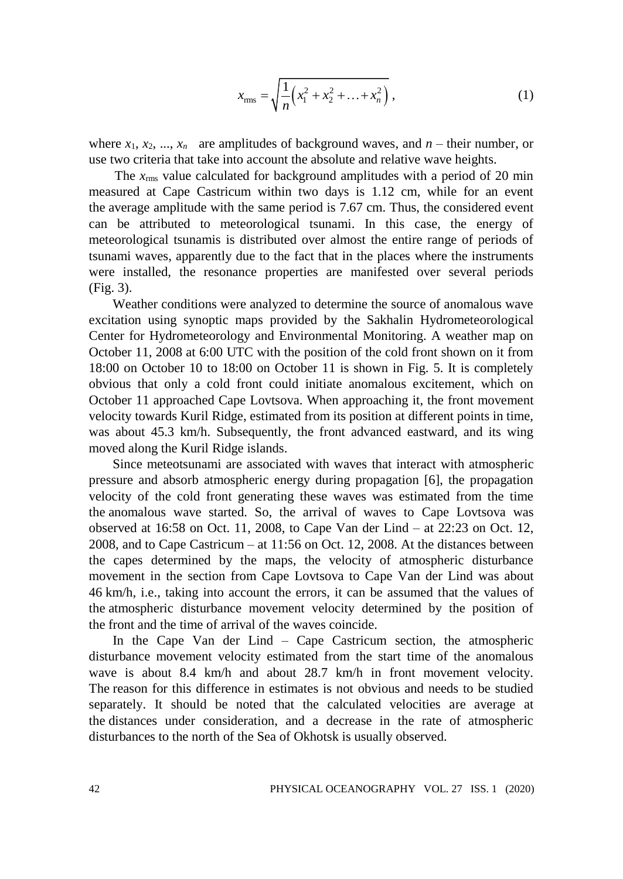$$
x_{\rm rms} = \sqrt{\frac{1}{n} \left( x_1^2 + x_2^2 + \ldots + x_n^2 \right)} \,, \tag{1}
$$

where  $x_1, x_2, ..., x_n$  are amplitudes of background waves, and  $n$  – their number, or use two criteria that take into account the absolute and relative wave heights.

The  $x_{\text{rms}}$  value calculated for background amplitudes with a period of 20 min measured at Cape Castricum within two days is 1.12 cm, while for an event the average amplitude with the same period is 7.67 cm. Thus, the considered event can be attributed to meteorological tsunami. In this case, the energy of meteorological tsunamis is distributed over almost the entire range of periods of tsunami waves, apparently due to the fact that in the places where the instruments were installed, the resonance properties are manifested over several periods (Fig. 3).

Weather conditions were analyzed to determine the source of anomalous wave excitation using synoptic maps provided by the Sakhalin Hydrometeorological Center for Hydrometeorology and Environmental Monitoring. A weather map on October 11, 2008 at 6:00 UTC with the position of the cold front shown on it from 18:00 on October 10 to 18:00 on October 11 is shown in Fig. 5. It is completely obvious that only a cold front could initiate anomalous excitement, which on October 11 approached Cape Lovtsova. When approaching it, the front movement velocity towards Kuril Ridge, estimated from its position at different points in time, was about 45.3 km/h. Subsequently, the front advanced eastward, and its wing moved along the Kuril Ridge islands.

Since meteotsunami are associated with waves that interact with atmospheric pressure and absorb atmospheric energy during propagation [6], the propagation velocity of the cold front generating these waves was estimated from the time the anomalous wave started. So, the arrival of waves to Cape Lovtsova was observed at 16:58 on Oct. 11, 2008, to Cape Van der Lind – at 22:23 on Oct. 12, 2008, and to Cape Castricum – at 11:56 on Oct. 12, 2008. At the distances between the capes determined by the maps, the velocity of atmospheric disturbance movement in the section from Cape Lovtsova to Cape Van der Lind was about 46 km/h, i.e., taking into account the errors, it can be assumed that the values of the atmospheric disturbance movement velocity determined by the position of the front and the time of arrival of the waves coincide.

In the Cape Van der Lind – Cape Castricum section, the atmospheric disturbance movement velocity estimated from the start time of the anomalous wave is about 8.4 km/h and about 28.7 km/h in front movement velocity. The reason for this difference in estimates is not obvious and needs to be studied separately. It should be noted that the calculated velocities are average at the distances under consideration, and a decrease in the rate of atmospheric disturbances to the north of the Sea of Okhotsk is usually observed.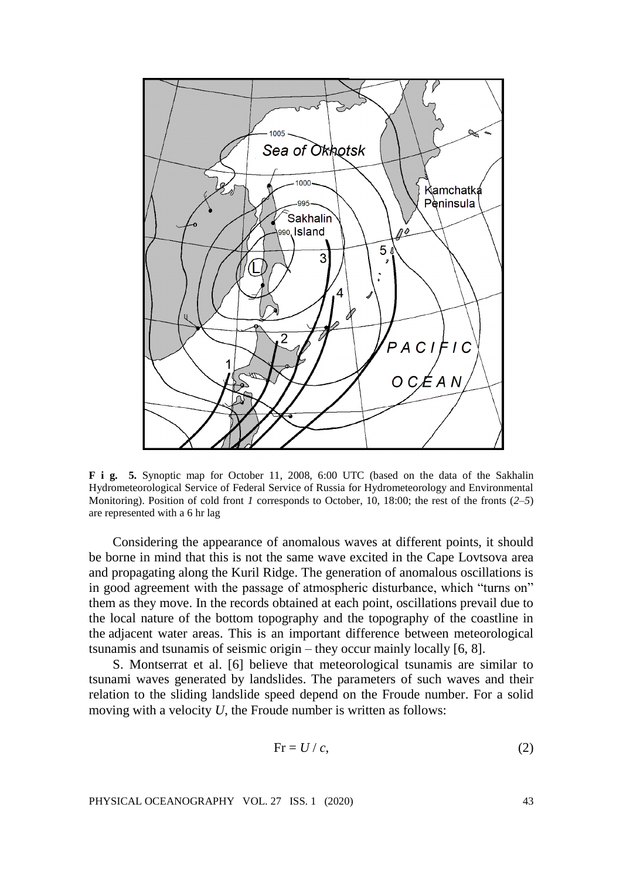

**F i g. 5.** Synoptic map for October 11, 2008, 6:00 UTC (based on the data of the Sakhalin Hydrometeorological Service of Federal Service of Russia for Hydrometeorology and Environmental Monitoring). Position of cold front *1* corresponds to October, 10, 18:00; the rest of the fronts (*2–5*) are represented with a 6 hr lag

Considering the appearance of anomalous waves at different points, it should be borne in mind that this is not the same wave excited in the Cape Lovtsova area and propagating along the Kuril Ridge. The generation of anomalous oscillations is in good agreement with the passage of atmospheric disturbance, which "turns on" them as they move. In the records obtained at each point, oscillations prevail due to the local nature of the bottom topography and the topography of the coastline in the adjacent water areas. This is an important difference between meteorological tsunamis and tsunamis of seismic origin – they occur mainly locally [6, 8].

S. Montserrat et al. [6] believe that meteorological tsunamis are similar to tsunami waves generated by landslides. The parameters of such waves and their relation to the sliding landslide speed depend on the Froude number. For a solid moving with a velocity *U*, the Froude number is written as follows:

$$
Fr = U / c, \tag{2}
$$

PHYSICAL OCEANOGRAPHY VOL. 27 ISS. 1 (2020) 43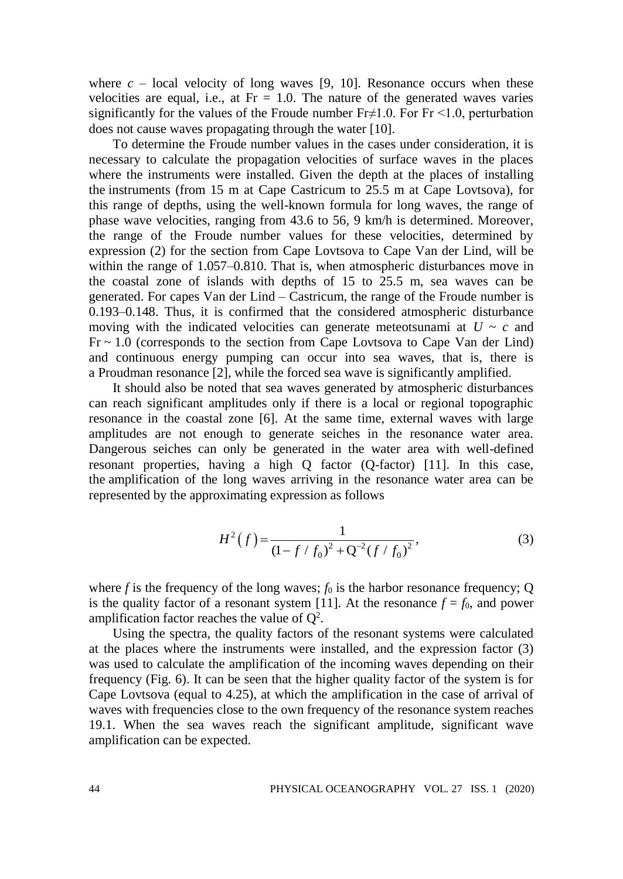where  $c - \text{local velocity of long waves}$  [9, 10]. Resonance occurs when these velocities are equal, i.e., at  $Fr = 1.0$ . The nature of the generated waves varies significantly for the values of the Froude number  $Fr \neq 1.0$ . For  $Fr \leq 1.0$ , perturbation does not cause waves propagating through the water [10].

To determine the Froude number values in the cases under consideration, it is necessary to calculate the propagation velocities of surface waves in the places where the instruments were installed. Given the depth at the places of installing the instruments (from 15 m at Cape Castricum to 25.5 m at Cape Lovtsova), for this range of depths, using the well-known formula for long waves, the range of phase wave velocities, ranging from 43.6 to 56, 9 km/h is determined. Moreover, the range of the Froude number values for these velocities, determined by expression (2) for the section from Cape Lovtsova to Cape Van der Lind, will be within the range of 1.057–0.810. That is, when atmospheric disturbances move in the coastal zone of islands with depths of 15 to 25.5 m, sea waves can be generated. For capes Van der Lind – Castricum, the range of the Froude number is 0.193–0.148. Thus, it is confirmed that the considered atmospheric disturbance moving with the indicated velocities can generate meteotsunami at  $U \sim c$  and  $Fr \sim 1.0$  (corresponds to the section from Cape Lovtsova to Cape Van der Lind) and continuous energy pumping can occur into sea waves, that is, there is a Proudman resonance [2], while the forced sea wave is significantly amplified.

It should also be noted that sea waves generated by atmospheric disturbances can reach significant amplitudes only if there is a local or regional topographic resonance in the coastal zone [6]. At the same time, external waves with large amplitudes are not enough to generate seiches in the resonance water area. Dangerous seiches can only be generated in the water area with well-defined resonant properties, having a high Q factor (Q-factor) [11]. In this case, the amplification of the long waves arriving in the resonance water area can be represented by the approximating expression as follows

$$
H^{2}(f) = \frac{1}{(1 - f/f_{0})^{2} + Q^{-2}(f/f_{0})^{2}},
$$
\n(3)

where  $f$  is the frequency of the long waves;  $f_0$  is the harbor resonance frequency; Q is the quality factor of a resonant system [11]. At the resonance  $f = f_0$ , and power amplification factor reaches the value of  $Q^2$ .

Using the spectra, the quality factors of the resonant systems were calculated at the places where the instruments were installed, and the expression factor (3) was used to calculate the amplification of the incoming waves depending on their frequency (Fig. 6). It can be seen that the higher quality factor of the system is for Cape Lovtsova (equal to 4.25), at which the amplification in the case of arrival of waves with frequencies close to the own frequency of the resonance system reaches 19.1. When the sea waves reach the significant amplitude, significant wave amplification can be expected.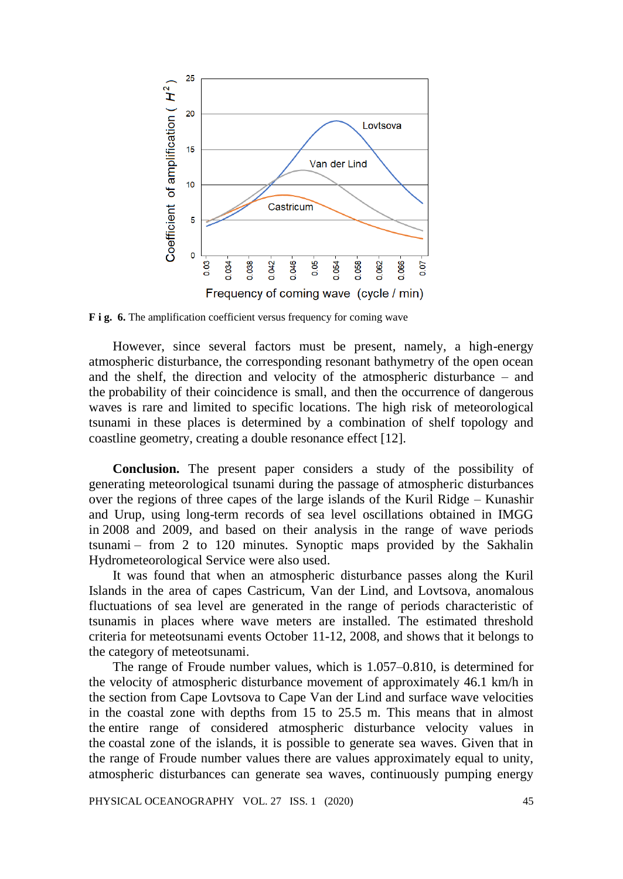

**F i g. 6.** The amplification coefficient versus frequency for coming wave

However, since several factors must be present, namely, a high-energy atmospheric disturbance, the corresponding resonant bathymetry of the open ocean and the shelf, the direction and velocity of the atmospheric disturbance – and the probability of their coincidence is small, and then the occurrence of dangerous waves is rare and limited to specific locations. The high risk of meteorological tsunami in these places is determined by a combination of shelf topology and coastline geometry, creating a double resonance effect [12].

**Conclusion.** The present paper considers a study of the possibility of generating meteorological tsunami during the passage of atmospheric disturbances over the regions of three capes of the large islands of the Kuril Ridge – Kunashir and Urup, using long-term records of sea level oscillations obtained in IMGG in 2008 and 2009, and based on their analysis in the range of wave periods tsunami – from 2 to 120 minutes. Synoptic maps provided by the Sakhalin Hydrometeorological Service were also used.

It was found that when an atmospheric disturbance passes along the Kuril Islands in the area of capes Castricum, Van der Lind, and Lovtsova, anomalous fluctuations of sea level are generated in the range of periods characteristic of tsunamis in places where wave meters are installed. The estimated threshold criteria for meteotsunami events October 11-12, 2008, and shows that it belongs to the category of meteotsunami.

The range of Froude number values, which is 1.057–0.810, is determined for the velocity of atmospheric disturbance movement of approximately 46.1 km/h in the section from Cape Lovtsova to Cape Van der Lind and surface wave velocities in the coastal zone with depths from 15 to 25.5 m. This means that in almost the entire range of considered atmospheric disturbance velocity values in the coastal zone of the islands, it is possible to generate sea waves. Given that in the range of Froude number values there are values approximately equal to unity, atmospheric disturbances can generate sea waves, continuously pumping energy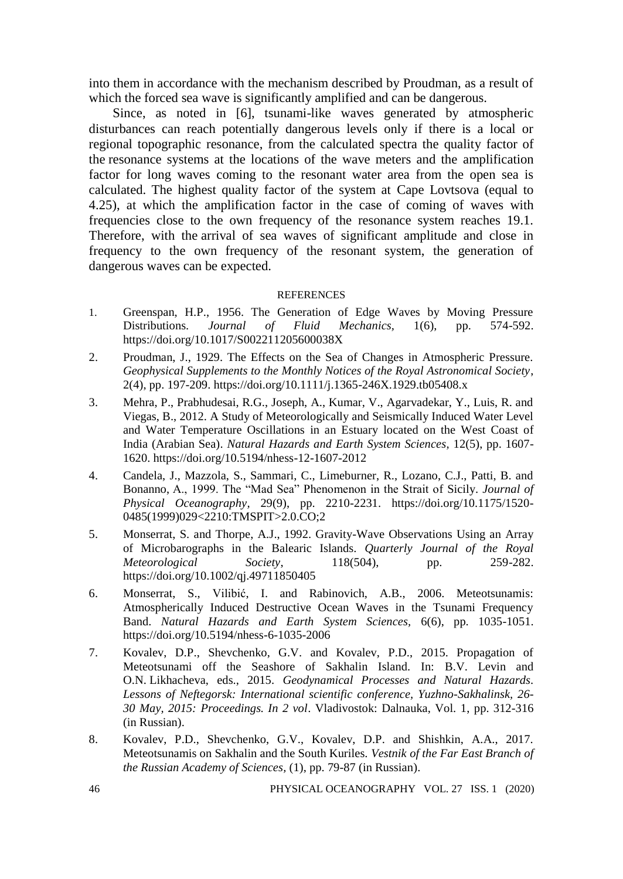into them in accordance with the mechanism described by Proudman, as a result of which the forced sea wave is significantly amplified and can be dangerous.

Since, as noted in [6], tsunami-like waves generated by atmospheric disturbances can reach potentially dangerous levels only if there is a local or regional topographic resonance, from the calculated spectra the quality factor of the resonance systems at the locations of the wave meters and the amplification factor for long waves coming to the resonant water area from the open sea is calculated. The highest quality factor of the system at Cape Lovtsova (equal to 4.25), at which the amplification factor in the case of coming of waves with frequencies close to the own frequency of the resonance system reaches 19.1. Therefore, with the arrival of sea waves of significant amplitude and close in frequency to the own frequency of the resonant system, the generation of dangerous waves can be expected.

## **REFERENCES**

- 1. Greenspan, H.P., 1956. The Generation of Edge Waves by Moving Pressure Distributions. *Journal of Fluid Mechanics,* 1(6), pp. 574-592. https://doi.org/10.1017/S002211205600038X
- 2. Proudman, J., 1929. The Effects on the Sea of Changes in Atmospheric Pressure. *Geophysical Supplements to the Monthly Notices of the Royal Astronomical Society*, 2(4), pp. 197-209. https://doi.org/10.1111/j.1365-246X.1929.tb05408.x
- 3. Mehra, P., Prabhudesai, R.G., Joseph, A., Kumar, V., Agarvadekar, Y., Luis, R. and Viegas, B., 2012. A Study of Meteorologically and Seismically Induced Water Level and Water Temperature Oscillations in an Estuary located on the West Coast of India (Arabian Sea). *Natural Hazards and Earth System Sciences,* 12(5), pp. 1607- 1620. https://doi.org/10.5194/nhess-12-1607-2012
- 4. Candela, J., Mazzola, S., Sammari, C., Limeburner, R., Lozano, C.J., Patti, B. and Bonanno, A., 1999. The "Mad Sea" Phenomenon in the Strait of Sicily. *Journal of Physical Oceanography,* 29(9), pp. 2210-2231. https://doi.org/10.1175/1520- 0485(1999)029<2210:TMSPIT>2.0.CO;2
- 5. Monserrat, S. and Thorpe, A.J., 1992. Gravity-Wave Observations Using an Array of Microbarographs in the Balearic Islands. *Quarterly Journal of the Royal Meteorological Society*, 118(504), pp. 259-282. https://doi.org/10.1002/qj.49711850405
- 6. Monserrat, S., Vilibić, I. and Rabinovich, A.B., 2006. Meteotsunamis: Atmospherically Induced Destructive Ocean Waves in the Tsunami Frequency Band. *Natural Hazards and Earth System Sciences,* 6(6), pp. 1035-1051. https://doi.org/10.5194/nhess-6-1035-2006
- 7. Kovalev, D.P., Shevchenko, G.V. and Kovalev, P.D., 2015. Propagation of Meteotsunami off the Seashore of Sakhalin Island. In: B.V. Levin and O.N. Likhacheva, eds., 2015. *Geodynamical Processes and Natural Hazards. Lessons of Neftegorsk: International scientific conference, Yuzhno-Sakhalinsk, 26- 30 May, 2015: Proceedings. In 2 vol*. Vladivostok: Dalnauka, Vol. 1, pp. 312-316 (in Russian).
- 8. Kovalev, P.D., Shevchenko, G.V., Kovalev, D.P. and Shishkin, A.A., 2017. Meteotsunamis on Sakhalin and the South Kuriles. *Vestnik of the Far East Branch of the Russian Academy of Sciences,* (1), pp. 79-87 (in Russian).